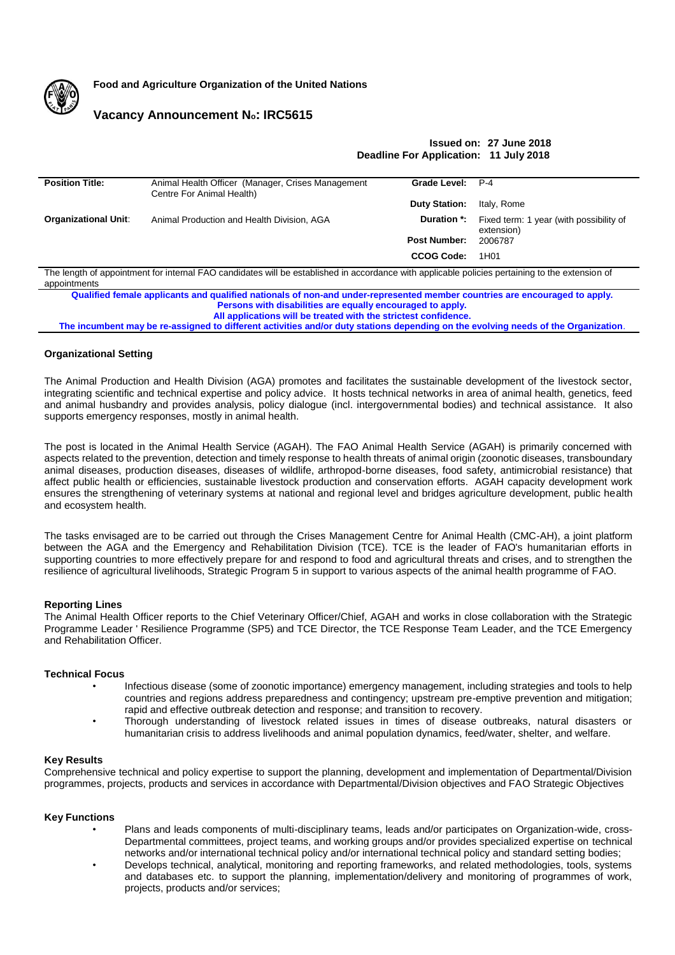

**Food and Agriculture Organization of the United Nations**

# **Vacancy Announcement No: IRC5615**

# **Issued on: 27 June 2018 Deadline For Application: 11 July 2018**

| <b>Position Title:</b>      | Animal Health Officer (Manager, Crises Management<br>Centre For Animal Health) | Grade Level:         | P-4                                                                      |
|-----------------------------|--------------------------------------------------------------------------------|----------------------|--------------------------------------------------------------------------|
|                             |                                                                                | <b>Duty Station:</b> | Italy, Rome                                                              |
| <b>Organizational Unit:</b> | Animal Production and Health Division, AGA                                     |                      | <b>Duration *:</b> Fixed term: 1 year (with possibility of<br>extension) |
|                             |                                                                                | <b>Post Number:</b>  | 2006787                                                                  |
|                             |                                                                                | <b>CCOG Code:</b>    | 1H01                                                                     |

The length of appointment for internal FAO candidates will be established in accordance with applicable policies pertaining to the extension of appointments

**Qualified female applicants and qualified nationals of non-and under-represented member countries are encouraged to apply. Persons with disabilities are equally encouraged to apply. All applications will be treated with the strictest confidence.**

**The incumbent may be re-assigned to different activities and/or duty stations depending on the evolving needs of the Organization**.

# **Organizational Setting**

The Animal Production and Health Division (AGA) promotes and facilitates the sustainable development of the livestock sector, integrating scientific and technical expertise and policy advice. It hosts technical networks in area of animal health, genetics, feed and animal husbandry and provides analysis, policy dialogue (incl. intergovernmental bodies) and technical assistance. It also supports emergency responses, mostly in animal health.

The post is located in the Animal Health Service (AGAH). The FAO Animal Health Service (AGAH) is primarily concerned with aspects related to the prevention, detection and timely response to health threats of animal origin (zoonotic diseases, transboundary animal diseases, production diseases, diseases of wildlife, arthropod-borne diseases, food safety, antimicrobial resistance) that affect public health or efficiencies, sustainable livestock production and conservation efforts. AGAH capacity development work ensures the strengthening of veterinary systems at national and regional level and bridges agriculture development, public health and ecosystem health.

The tasks envisaged are to be carried out through the Crises Management Centre for Animal Health (CMC-AH), a joint platform between the AGA and the Emergency and Rehabilitation Division (TCE). TCE is the leader of FAO's humanitarian efforts in supporting countries to more effectively prepare for and respond to food and agricultural threats and crises, and to strengthen the resilience of agricultural livelihoods, Strategic Program 5 in support to various aspects of the animal health programme of FAO.

# **Reporting Lines**

The Animal Health Officer reports to the Chief Veterinary Officer/Chief, AGAH and works in close collaboration with the Strategic Programme Leader ' Resilience Programme (SP5) and TCE Director, the TCE Response Team Leader, and the TCE Emergency and Rehabilitation Officer.

# **Technical Focus**

- Infectious disease (some of zoonotic importance) emergency management, including strategies and tools to help countries and regions address preparedness and contingency; upstream pre-emptive prevention and mitigation; rapid and effective outbreak detection and response; and transition to recovery.
- Thorough understanding of livestock related issues in times of disease outbreaks, natural disasters or humanitarian crisis to address livelihoods and animal population dynamics, feed/water, shelter, and welfare.

# **Key Results**

Comprehensive technical and policy expertise to support the planning, development and implementation of Departmental/Division programmes, projects, products and services in accordance with Departmental/Division objectives and FAO Strategic Objectives

# **Key Functions**

- Plans and leads components of multi-disciplinary teams, leads and/or participates on Organization-wide, cross-Departmental committees, project teams, and working groups and/or provides specialized expertise on technical networks and/or international technical policy and/or international technical policy and standard setting bodies;
- Develops technical, analytical, monitoring and reporting frameworks, and related methodologies, tools, systems and databases etc. to support the planning, implementation/delivery and monitoring of programmes of work, projects, products and/or services;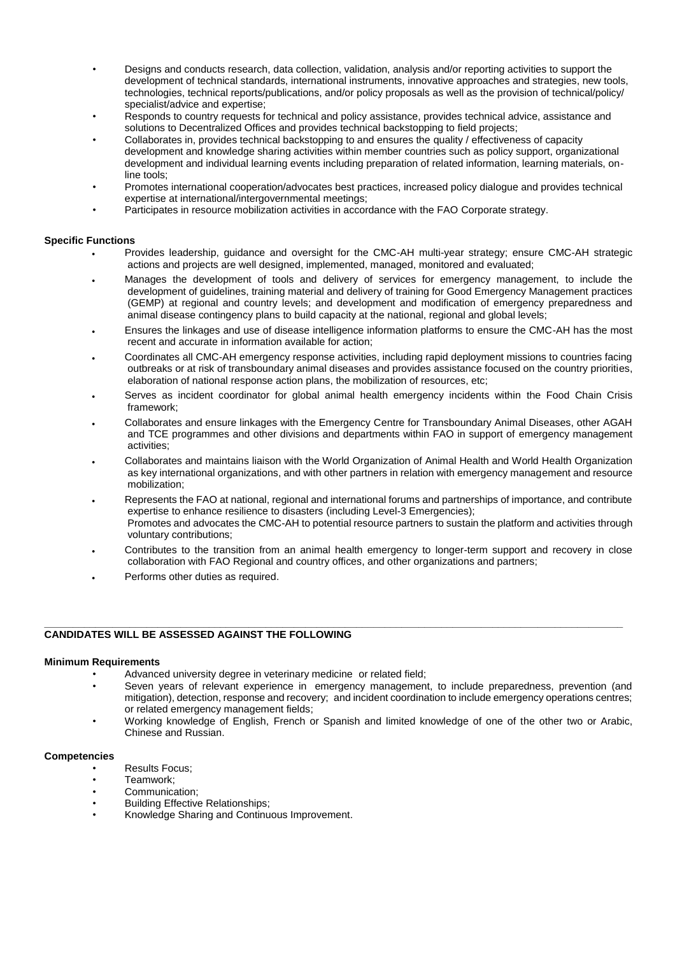- Designs and conducts research, data collection, validation, analysis and/or reporting activities to support the development of technical standards, international instruments, innovative approaches and strategies, new tools, technologies, technical reports/publications, and/or policy proposals as well as the provision of technical/policy/ specialist/advice and expertise;
- Responds to country requests for technical and policy assistance, provides technical advice, assistance and solutions to Decentralized Offices and provides technical backstopping to field projects;
- Collaborates in, provides technical backstopping to and ensures the quality / effectiveness of capacity development and knowledge sharing activities within member countries such as policy support, organizational development and individual learning events including preparation of related information, learning materials, online tools;
- Promotes international cooperation/advocates best practices, increased policy dialogue and provides technical expertise at international/intergovernmental meetings;
- Participates in resource mobilization activities in accordance with the FAO Corporate strategy.

# **Specific Functions**

- Provides leadership, guidance and oversight for the CMC-AH multi-year strategy; ensure CMC-AH strategic actions and projects are well designed, implemented, managed, monitored and evaluated;
- Manages the development of tools and delivery of services for emergency management, to include the development of guidelines, training material and delivery of training for Good Emergency Management practices (GEMP) at regional and country levels; and development and modification of emergency preparedness and animal disease contingency plans to build capacity at the national, regional and global levels;
- Ensures the linkages and use of disease intelligence information platforms to ensure the CMC-AH has the most recent and accurate in information available for action;
- Coordinates all CMC-AH emergency response activities, including rapid deployment missions to countries facing outbreaks or at risk of transboundary animal diseases and provides assistance focused on the country priorities, elaboration of national response action plans, the mobilization of resources, etc;
- Serves as incident coordinator for global animal health emergency incidents within the Food Chain Crisis framework;
- Collaborates and ensure linkages with the Emergency Centre for Transboundary Animal Diseases, other AGAH and TCE programmes and other divisions and departments within FAO in support of emergency management activities;
- Collaborates and maintains liaison with the World Organization of Animal Health and World Health Organization as key international organizations, and with other partners in relation with emergency management and resource mobilization;
- Represents the FAO at national, regional and international forums and partnerships of importance, and contribute expertise to enhance resilience to disasters (including Level-3 Emergencies); Promotes and advocates the CMC-AH to potential resource partners to sustain the platform and activities through voluntary contributions;
- Contributes to the transition from an animal health emergency to longer-term support and recovery in close collaboration with FAO Regional and country offices, and other organizations and partners;

**\_\_\_\_\_\_\_\_\_\_\_\_\_\_\_\_\_\_\_\_\_\_\_\_\_\_\_\_\_\_\_\_\_\_\_\_\_\_\_\_\_\_\_\_\_\_\_\_\_\_\_\_\_\_\_\_\_\_\_\_\_\_\_\_\_\_\_\_\_\_\_\_\_\_\_\_\_\_\_\_\_\_\_\_\_\_\_\_\_\_\_\_\_\_\_\_\_\_\_\_\_\_**

Performs other duties as required.

# **CANDIDATES WILL BE ASSESSED AGAINST THE FOLLOWING**

# **Minimum Requirements**

- Advanced university degree in veterinary medicine or related field;
- Seven years of relevant experience in emergency management, to include preparedness, prevention (and mitigation), detection, response and recovery; and incident coordination to include emergency operations centres; or related emergency management fields;
- Working knowledge of English, French or Spanish and limited knowledge of one of the other two or Arabic, Chinese and Russian.

# **Competencies**

- Results Focus;
- Teamwork;
- Communication;
- Building Effective Relationships;
- Knowledge Sharing and Continuous Improvement.